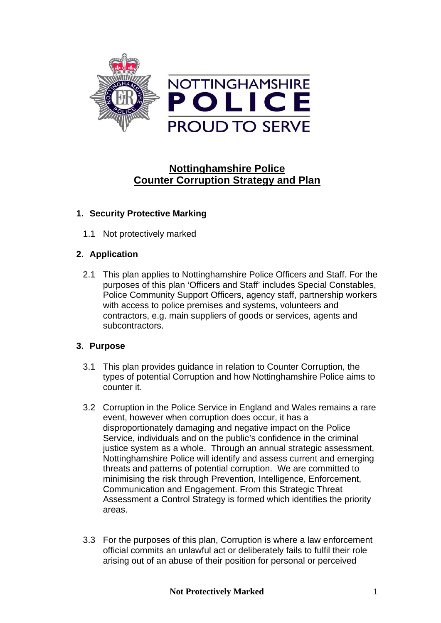

# **Nottinghamshire Police Counter Corruption Strategy and Plan**

# **1. Security Protective Marking**

1.1 Not protectively marked

# **2. Application**

2.1 This plan applies to Nottinghamshire Police Officers and Staff. For the purposes of this plan 'Officers and Staff' includes Special Constables, Police Community Support Officers, agency staff, partnership workers with access to police premises and systems, volunteers and contractors, e.g. main suppliers of goods or services, agents and subcontractors.

# **3. Purpose**

- 3.1 This plan provides guidance in relation to Counter Corruption, the types of potential Corruption and how Nottinghamshire Police aims to counter it.
- 3.2 Corruption in the Police Service in England and Wales remains a rare event, however when corruption does occur, it has a disproportionately damaging and negative impact on the Police Service, individuals and on the public's confidence in the criminal justice system as a whole. Through an annual strategic assessment, Nottinghamshire Police will identify and assess current and emerging threats and patterns of potential corruption. We are committed to minimising the risk through Prevention, Intelligence, Enforcement, Communication and Engagement. From this Strategic Threat Assessment a Control Strategy is formed which identifies the priority areas.
- 3.3 For the purposes of this plan, Corruption is where a law enforcement official commits an unlawful act or deliberately fails to fulfil their role arising out of an abuse of their position for personal or perceived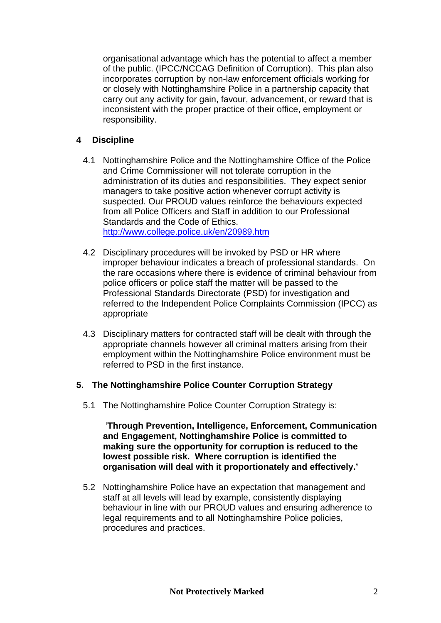organisational advantage which has the potential to affect a member of the public. (IPCC/NCCAG Definition of Corruption). This plan also incorporates corruption by non-law enforcement officials working for or closely with Nottinghamshire Police in a partnership capacity that carry out any activity for gain, favour, advancement, or reward that is inconsistent with the proper practice of their office, employment or responsibility.

## **4 Discipline**

- 4.1 Nottinghamshire Police and the Nottinghamshire Office of the Police and Crime Commissioner will not tolerate corruption in the administration of its duties and responsibilities. They expect senior managers to take positive action whenever corrupt activity is suspected. Our PROUD values reinforce the behaviours expected from all Police Officers and Staff in addition to our Professional Standards and the Code of Ethics. <http://www.college.police.uk/en/20989.htm>
- 4.2 Disciplinary procedures will be invoked by PSD or HR where improper behaviour indicates a breach of professional standards. On the rare occasions where there is evidence of criminal behaviour from police officers or police staff the matter will be passed to the Professional Standards Directorate (PSD) for investigation and referred to the Independent Police Complaints Commission (IPCC) as appropriate
- 4.3 Disciplinary matters for contracted staff will be dealt with through the appropriate channels however all criminal matters arising from their employment within the Nottinghamshire Police environment must be referred to PSD in the first instance.

## **5. The Nottinghamshire Police Counter Corruption Strategy**

5.1 The Nottinghamshire Police Counter Corruption Strategy is:

 '**Through Prevention, Intelligence, Enforcement, Communication and Engagement, Nottinghamshire Police is committed to making sure the opportunity for corruption is reduced to the lowest possible risk. Where corruption is identified the organisation will deal with it proportionately and effectively.'**

5.2 Nottinghamshire Police have an expectation that management and staff at all levels will lead by example, consistently displaying behaviour in line with our PROUD values and ensuring adherence to legal requirements and to all Nottinghamshire Police policies, procedures and practices.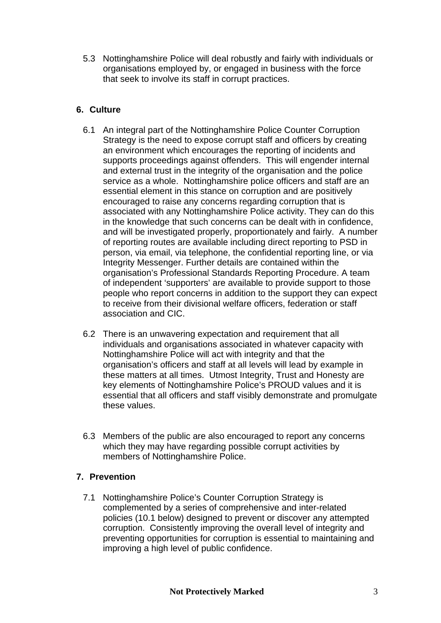5.3 Nottinghamshire Police will deal robustly and fairly with individuals or organisations employed by, or engaged in business with the force that seek to involve its staff in corrupt practices.

# **6. Culture**

- 6.1 An integral part of the Nottinghamshire Police Counter Corruption Strategy is the need to expose corrupt staff and officers by creating an environment which encourages the reporting of incidents and supports proceedings against offenders. This will engender internal and external trust in the integrity of the organisation and the police service as a whole. Nottinghamshire police officers and staff are an essential element in this stance on corruption and are positively encouraged to raise any concerns regarding corruption that is associated with any Nottinghamshire Police activity. They can do this in the knowledge that such concerns can be dealt with in confidence, and will be investigated properly, proportionately and fairly. A number of reporting routes are available including direct reporting to PSD in person, via email, via telephone, the confidential reporting line, or via Integrity Messenger. Further details are contained within the organisation's Professional Standards Reporting Procedure. A team of independent 'supporters' are available to provide support to those people who report concerns in addition to the support they can expect to receive from their divisional welfare officers, federation or staff association and CIC.
- 6.2 There is an unwavering expectation and requirement that all individuals and organisations associated in whatever capacity with Nottinghamshire Police will act with integrity and that the organisation's officers and staff at all levels will lead by example in these matters at all times. Utmost Integrity, Trust and Honesty are key elements of Nottinghamshire Police's PROUD values and it is essential that all officers and staff visibly demonstrate and promulgate these values.
- 6.3 Members of the public are also encouraged to report any concerns which they may have regarding possible corrupt activities by members of Nottinghamshire Police.

## **7. Prevention**

7.1 Nottinghamshire Police's Counter Corruption Strategy is complemented by a series of comprehensive and inter-related policies (10.1 below) designed to prevent or discover any attempted corruption. Consistently improving the overall level of integrity and preventing opportunities for corruption is essential to maintaining and improving a high level of public confidence.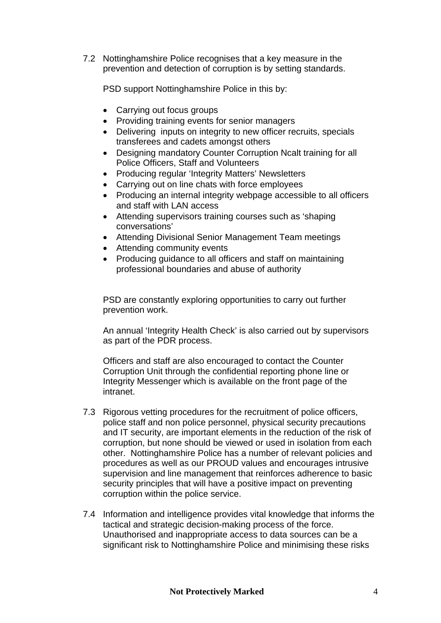7.2 Nottinghamshire Police recognises that a key measure in the prevention and detection of corruption is by setting standards.

PSD support Nottinghamshire Police in this by:

- Carrying out focus groups
- Providing training events for senior managers
- Delivering inputs on integrity to new officer recruits, specials transferees and cadets amongst others
- Designing mandatory Counter Corruption Ncalt training for all Police Officers, Staff and Volunteers
- Producing regular 'Integrity Matters' Newsletters
- Carrying out on line chats with force employees
- Producing an internal integrity webpage accessible to all officers and staff with LAN access
- Attending supervisors training courses such as 'shaping conversations'
- Attending Divisional Senior Management Team meetings
- Attending community events
- Producing guidance to all officers and staff on maintaining professional boundaries and abuse of authority

PSD are constantly exploring opportunities to carry out further prevention work.

An annual 'Integrity Health Check' is also carried out by supervisors as part of the PDR process.

Officers and staff are also encouraged to contact the Counter Corruption Unit through the confidential reporting phone line or Integrity Messenger which is available on the front page of the intranet.

- 7.3 Rigorous vetting procedures for the recruitment of police officers, police staff and non police personnel, physical security precautions and IT security, are important elements in the reduction of the risk of corruption, but none should be viewed or used in isolation from each other. Nottinghamshire Police has a number of relevant policies and procedures as well as our PROUD values and encourages intrusive supervision and line management that reinforces adherence to basic security principles that will have a positive impact on preventing corruption within the police service.
- 7.4 Information and intelligence provides vital knowledge that informs the tactical and strategic decision-making process of the force. Unauthorised and inappropriate access to data sources can be a significant risk to Nottinghamshire Police and minimising these risks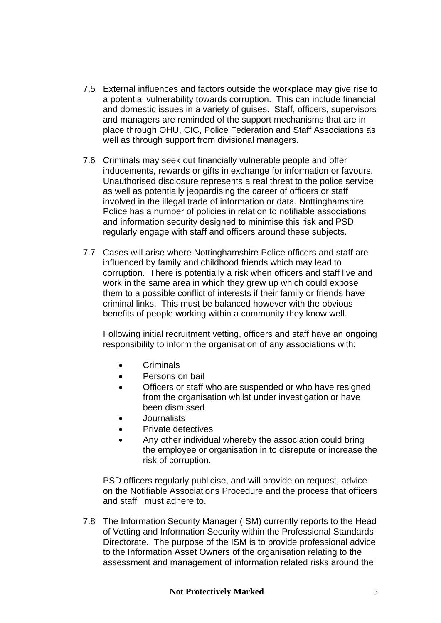- 7.5 External influences and factors outside the workplace may give rise to a potential vulnerability towards corruption. This can include financial and domestic issues in a variety of guises. Staff, officers, supervisors and managers are reminded of the support mechanisms that are in place through OHU, CIC, Police Federation and Staff Associations as well as through support from divisional managers.
- 7.6 Criminals may seek out financially vulnerable people and offer inducements, rewards or gifts in exchange for information or favours. Unauthorised disclosure represents a real threat to the police service as well as potentially jeopardising the career of officers or staff involved in the illegal trade of information or data. Nottinghamshire Police has a number of policies in relation to notifiable associations and information security designed to minimise this risk and PSD regularly engage with staff and officers around these subjects.
- 7.7 Cases will arise where Nottinghamshire Police officers and staff are influenced by family and childhood friends which may lead to corruption. There is potentially a risk when officers and staff live and work in the same area in which they grew up which could expose them to a possible conflict of interests if their family or friends have criminal links. This must be balanced however with the obvious benefits of people working within a community they know well.

Following initial recruitment vetting, officers and staff have an ongoing responsibility to inform the organisation of any associations with:

- Criminals
- Persons on bail
- Officers or staff who are suspended or who have resigned from the organisation whilst under investigation or have been dismissed
- Journalists
- Private detectives
- Any other individual whereby the association could bring the employee or organisation in to disrepute or increase the risk of corruption.

PSD officers regularly publicise, and will provide on request, advice on the Notifiable Associations Procedure and the process that officers and staff must adhere to.

7.8 The Information Security Manager (ISM) currently reports to the Head of Vetting and Information Security within the Professional Standards Directorate. The purpose of the ISM is to provide professional advice to the Information Asset Owners of the organisation relating to the assessment and management of information related risks around the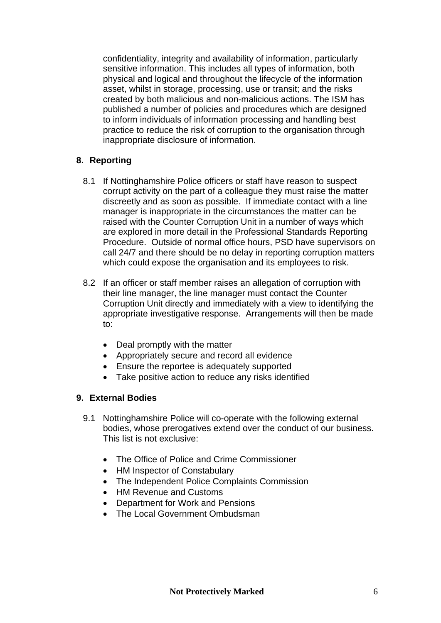confidentiality, integrity and availability of information, particularly sensitive information. This includes all types of information, both physical and logical and throughout the lifecycle of the information asset, whilst in storage, processing, use or transit; and the risks created by both malicious and non-malicious actions. The ISM has published a number of policies and procedures which are designed to inform individuals of information processing and handling best practice to reduce the risk of corruption to the organisation through inappropriate disclosure of information.

#### **8. Reporting**

- 8.1 If Nottinghamshire Police officers or staff have reason to suspect corrupt activity on the part of a colleague they must raise the matter discreetly and as soon as possible. If immediate contact with a line manager is inappropriate in the circumstances the matter can be raised with the Counter Corruption Unit in a number of ways which are explored in more detail in the Professional Standards Reporting Procedure. Outside of normal office hours, PSD have supervisors on call 24/7 and there should be no delay in reporting corruption matters which could expose the organisation and its employees to risk.
- 8.2 If an officer or staff member raises an allegation of corruption with their line manager, the line manager must contact the Counter Corruption Unit directly and immediately with a view to identifying the appropriate investigative response. Arrangements will then be made to:
	- Deal promptly with the matter
	- Appropriately secure and record all evidence
	- Ensure the reportee is adequately supported
	- Take positive action to reduce any risks identified

## **9. External Bodies**

- 9.1 Nottinghamshire Police will co-operate with the following external bodies, whose prerogatives extend over the conduct of our business. This list is not exclusive:
	- The Office of Police and Crime Commissioner
	- HM Inspector of Constabulary
	- The Independent Police Complaints Commission
	- HM Revenue and Customs
	- Department for Work and Pensions
	- The Local Government Ombudsman